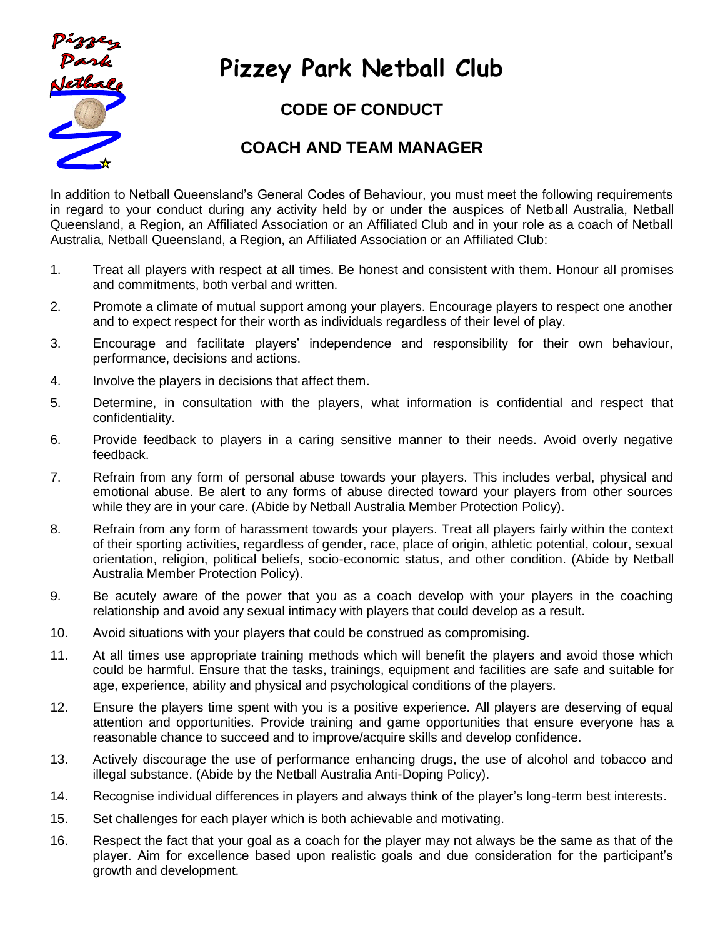

## **Pizzey Park Netball Club**

## **CODE OF CONDUCT**

## **COACH AND TEAM MANAGER**

In addition to Netball Queensland's General Codes of Behaviour, you must meet the following requirements in regard to your conduct during any activity held by or under the auspices of Netball Australia, Netball Queensland, a Region, an Affiliated Association or an Affiliated Club and in your role as a coach of Netball Australia, Netball Queensland, a Region, an Affiliated Association or an Affiliated Club:

- 1. Treat all players with respect at all times. Be honest and consistent with them. Honour all promises and commitments, both verbal and written.
- 2. Promote a climate of mutual support among your players. Encourage players to respect one another and to expect respect for their worth as individuals regardless of their level of play.
- 3. Encourage and facilitate players' independence and responsibility for their own behaviour, performance, decisions and actions.
- 4. Involve the players in decisions that affect them.
- 5. Determine, in consultation with the players, what information is confidential and respect that confidentiality.
- 6. Provide feedback to players in a caring sensitive manner to their needs. Avoid overly negative feedback.
- 7. Refrain from any form of personal abuse towards your players. This includes verbal, physical and emotional abuse. Be alert to any forms of abuse directed toward your players from other sources while they are in your care. (Abide by Netball Australia Member Protection Policy).
- 8. Refrain from any form of harassment towards your players. Treat all players fairly within the context of their sporting activities, regardless of gender, race, place of origin, athletic potential, colour, sexual orientation, religion, political beliefs, socio-economic status, and other condition. (Abide by Netball Australia Member Protection Policy).
- 9. Be acutely aware of the power that you as a coach develop with your players in the coaching relationship and avoid any sexual intimacy with players that could develop as a result.
- 10. Avoid situations with your players that could be construed as compromising.
- 11. At all times use appropriate training methods which will benefit the players and avoid those which could be harmful. Ensure that the tasks, trainings, equipment and facilities are safe and suitable for age, experience, ability and physical and psychological conditions of the players.
- 12. Ensure the players time spent with you is a positive experience. All players are deserving of equal attention and opportunities. Provide training and game opportunities that ensure everyone has a reasonable chance to succeed and to improve/acquire skills and develop confidence.
- 13. Actively discourage the use of performance enhancing drugs, the use of alcohol and tobacco and illegal substance. (Abide by the Netball Australia Anti-Doping Policy).
- 14. Recognise individual differences in players and always think of the player's long-term best interests.
- 15. Set challenges for each player which is both achievable and motivating.
- 16. Respect the fact that your goal as a coach for the player may not always be the same as that of the player. Aim for excellence based upon realistic goals and due consideration for the participant's growth and development.